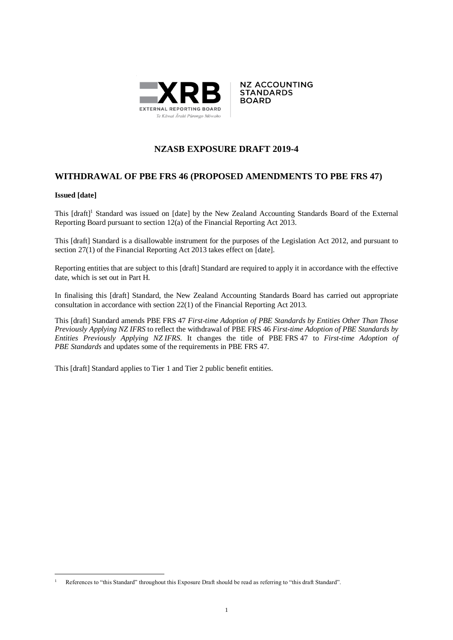



## **NZASB EXPOSURE DRAFT 2019-4**

## **WITHDRAWAL OF PBE FRS 46 (PROPOSED AMENDMENTS TO PBE FRS 47)**

#### **Issued [date]**

1

This [draft]<sup>1</sup> Standard was issued on [date] by the New Zealand Accounting Standards Board of the External Reporting Board pursuant to section 12(a) of the Financial Reporting Act 2013.

This [draft] Standard is a disallowable instrument for the purposes of the Legislation Act 2012, and pursuant to section 27(1) of the Financial Reporting Act 2013 takes effect on [date].

Reporting entities that are subject to this [draft] Standard are required to apply it in accordance with the effective date, which is set out in Part H.

In finalising this [draft] Standard, the New Zealand Accounting Standards Board has carried out appropriate consultation in accordance with section 22(1) of the Financial Reporting Act 2013.

This [draft] Standard amends PBE FRS 47 *First-time Adoption of PBE Standards by Entities Other Than Those Previously Applying NZ IFRS* to reflect the withdrawal of PBE FRS 46 *First-time Adoption of PBE Standards by Entities Previously Applying NZ IFRS*. It changes the title of PBE FRS 47 to *First-time Adoption of PBE Standards* and updates some of the requirements in PBE FRS 47.

This [draft] Standard applies to Tier 1 and Tier 2 public benefit entities.

<sup>1</sup> References to "this Standard" throughout this Exposure Draft should be read as referring to "this draft Standard".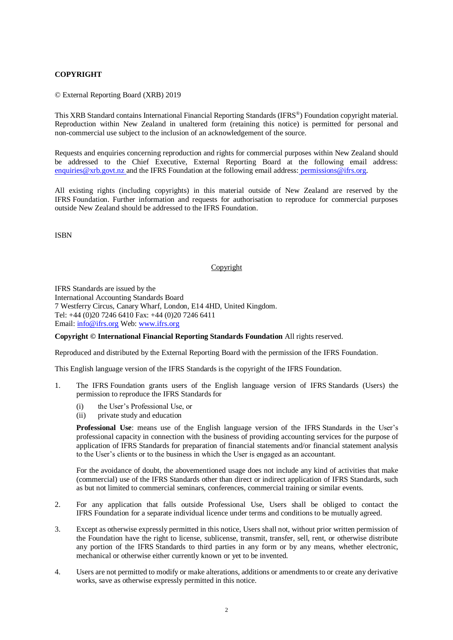### **COPYRIGHT**

© External Reporting Board (XRB) 2019

This XRB Standard contains International Financial Reporting Standards (IFRS®) Foundation copyright material. Reproduction within New Zealand in unaltered form (retaining this notice) is permitted for personal and non-commercial use subject to the inclusion of an acknowledgement of the source.

Requests and enquiries concerning reproduction and rights for commercial purposes within New Zealand should be addressed to the Chief Executive, External Reporting Board at the following email address: [enquiries@xrb.govt.nz](mailto:enquiries@xrb.govt.nz) and the IFRS Foundation at the following email address: permissions@ifrs.org.

All existing rights (including copyrights) in this material outside of New Zealand are reserved by the IFRS Foundation. Further information and requests for authorisation to reproduce for commercial purposes outside New Zealand should be addressed to the IFRS Foundation.

ISBN

#### Copyright

IFRS Standards are issued by the International Accounting Standards Board 7 Westferry Circus, Canary Wharf, London, E14 4HD, United Kingdom. Tel: +44 (0)20 7246 6410 Fax: +44 (0)20 7246 6411 Email: [info@ifrs.org](mailto:info@ifrs.org) Web: [www.ifrs.org](http://www.ifrs.org/)

**Copyright © International Financial Reporting Standards Foundation** All rights reserved.

Reproduced and distributed by the External Reporting Board with the permission of the IFRS Foundation.

This English language version of the IFRS Standards is the copyright of the IFRS Foundation.

- 1. The IFRS Foundation grants users of the English language version of IFRS Standards (Users) the permission to reproduce the IFRS Standards for
	- (i) the User's Professional Use, or
	- (ii) private study and education

**Professional Use**: means use of the English language version of the IFRS Standards in the User's professional capacity in connection with the business of providing accounting services for the purpose of application of IFRS Standards for preparation of financial statements and/or financial statement analysis to the User's clients or to the business in which the User is engaged as an accountant.

For the avoidance of doubt, the abovementioned usage does not include any kind of activities that make (commercial) use of the IFRS Standards other than direct or indirect application of IFRS Standards, such as but not limited to commercial seminars, conferences, commercial training or similar events.

- 2. For any application that falls outside Professional Use, Users shall be obliged to contact the IFRS Foundation for a separate individual licence under terms and conditions to be mutually agreed.
- 3. Except as otherwise expressly permitted in this notice, Users shall not, without prior written permission of the Foundation have the right to license, sublicense, transmit, transfer, sell, rent, or otherwise distribute any portion of the IFRS Standards to third parties in any form or by any means, whether electronic, mechanical or otherwise either currently known or yet to be invented.
- 4. Users are not permitted to modify or make alterations, additions or amendments to or create any derivative works, save as otherwise expressly permitted in this notice.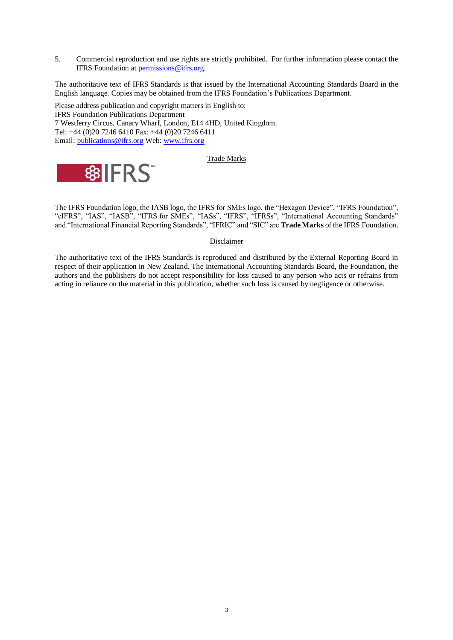5. Commercial reproduction and use rights are strictly prohibited. For further information please contact the IFRS Foundation at [permissions@ifrs.org.](mailto:permissions@ifrs.org)

The authoritative text of IFRS Standards is that issued by the International Accounting Standards Board in the English language. Copies may be obtained from the IFRS Foundation's Publications Department.

Please address publication and copyright matters in English to: IFRS Foundation Publications Department 7 Westferry Circus, Canary Wharf, London, E14 4HD, United Kingdom. Tel: +44 (0)20 7246 6410 Fax: +44 (0)20 7246 6411 Email: [publications@ifrs.org](mailto:publications@ifrs.org) Web: [www.ifrs.org](http://www.ifrs.org/)

#### Trade Marks



The IFRS Foundation logo, the IASB logo, the IFRS for SMEs logo, the "Hexagon Device", "IFRS Foundation", "eIFRS", "IAS", "IASB", "IFRS for SMEs", "IASs", "IFRS", "IFRSs", "International Accounting Standards" and "International Financial Reporting Standards", "IFRIC" and "SIC" are **Trade Marks** of the IFRS Foundation.

#### Disclaimer

The authoritative text of the IFRS Standards is reproduced and distributed by the External Reporting Board in respect of their application in New Zealand. The International Accounting Standards Board, the Foundation, the authors and the publishers do not accept responsibility for loss caused to any person who acts or refrains from acting in reliance on the material in this publication, whether such loss is caused by negligence or otherwise.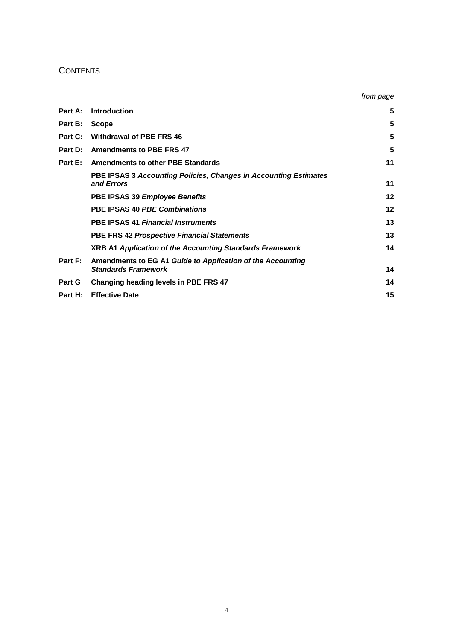## **CONTENTS**

|         |                                                                                          | from page |
|---------|------------------------------------------------------------------------------------------|-----------|
| Part A: | Introduction                                                                             | 5         |
| Part B: | <b>Scope</b>                                                                             | 5         |
| Part C: | <b>Withdrawal of PBE FRS 46</b>                                                          | 5         |
| Part D: | <b>Amendments to PBE FRS 47</b>                                                          | 5         |
| Part E: | <b>Amendments to other PBE Standards</b>                                                 | 11        |
|         | PBE IPSAS 3 Accounting Policies, Changes in Accounting Estimates<br>and Frrors           | 11        |
|         | PBE IPSAS 39 Employee Benefits                                                           | $12 \,$   |
|         | <b>PBE IPSAS 40 PBE Combinations</b>                                                     | $12 \,$   |
|         | <b>PBE IPSAS 41 Financial Instruments</b>                                                | 13        |
|         | <b>PBE FRS 42 Prospective Financial Statements</b>                                       | 13        |
|         | <b>XRB A1 Application of the Accounting Standards Framework</b>                          | 14        |
| Part F: | Amendments to EG A1 Guide to Application of the Accounting<br><b>Standards Framework</b> | 14        |
| Part G  | Changing heading levels in PBE FRS 47                                                    | 14        |
| Part H: | <b>Effective Date</b>                                                                    | 15        |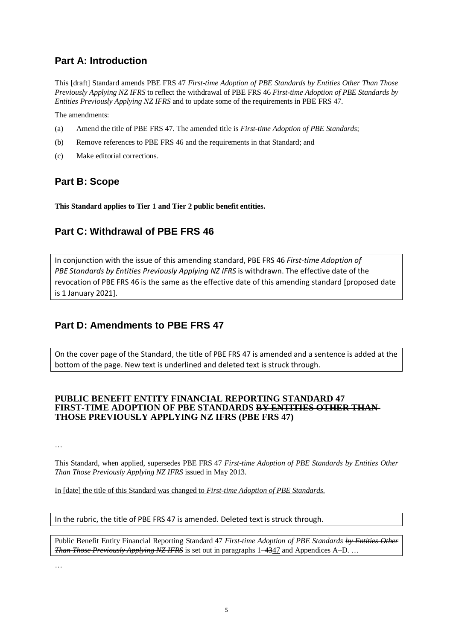# **Part A: Introduction**

This [draft] Standard amends PBE FRS 47 *First-time Adoption of PBE Standards by Entities Other Than Those Previously Applying NZ IFRS* to reflect the withdrawal of PBE FRS 46 *First-time Adoption of PBE Standards by Entities Previously Applying NZ IFRS* and to update some of the requirements in PBE FRS 47.

The amendments:

- (a) Amend the title of PBE FRS 47. The amended title is *First-time Adoption of PBE Standards*;
- (b) Remove references to PBE FRS 46 and the requirements in that Standard; and
- (c) Make editorial corrections.

# **Part B: Scope**

**This Standard applies to Tier 1 and Tier 2 public benefit entities.**

# **Part C: Withdrawal of PBE FRS 46**

In conjunction with the issue of this amending standard, PBE FRS 46 *First-time Adoption of PBE Standards by Entities Previously Applying NZ IFRS* is withdrawn. The effective date of the revocation of PBE FRS 46 is the same as the effective date of this amending standard [proposed date is 1 January 2021].

# **Part D: Amendments to PBE FRS 47**

On the cover page of the Standard, the title of PBE FRS 47 is amended and a sentence is added at the bottom of the page. New text is underlined and deleted text is struck through.

### **PUBLIC BENEFIT ENTITY FINANCIAL REPORTING STANDARD 47 FIRST-TIME ADOPTION OF PBE STANDARDS BY ENTITIES OTHER THAN THOSE PREVIOUSLY APPLYING NZ IFRS (PBE FRS 47)**

…

This Standard, when applied, supersedes PBE FRS 47 *First-time Adoption of PBE Standards by Entities Other Than Those Previously Applying NZ IFRS* issued in May 2013.

In [date] the title of this Standard was changed to *First-time Adoption of PBE Standards.*

In the rubric, the title of PBE FRS 47 is amended. Deleted text is struck through.

Public Benefit Entity Financial Reporting Standard 47 *First-time Adoption of PBE Standards by Entities Other Than Those Previously Applying NZ IFRS* is set out in paragraphs  $1-4347$  and Appendices A–D. ...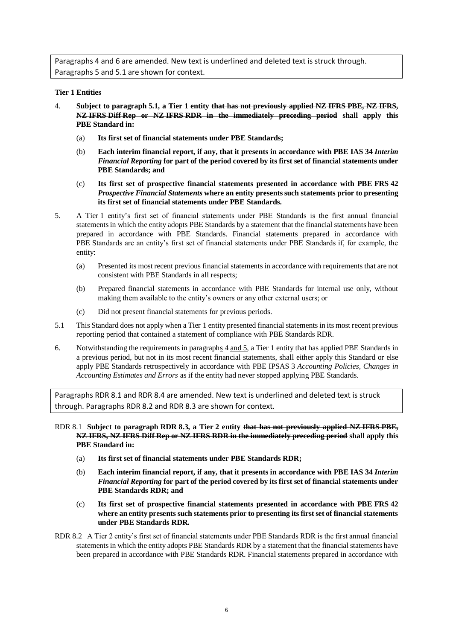Paragraphs 4 and 6 are amended. New text is underlined and deleted text is struck through. Paragraphs 5 and 5.1 are shown for context.

#### **Tier 1 Entities**

- 4. **Subject to paragraph 5.1, a Tier 1 entity that has not previously applied NZ IFRS PBE, NZ IFRS, NZ IFRS Diff Rep or NZ IFRS RDR in the immediately preceding period shall apply this PBE Standard in:** 
	- (a) **Its first set of financial statements under PBE Standards;**
	- (b) **Each interim financial report, if any, that it presents in accordance with PBE IAS 34** *Interim Financial Reporting* **for part of the period covered by its first set of financial statements under PBE Standards; and**
	- (c) **Its first set of prospective financial statements presented in accordance with PBE FRS 42**  *Prospective Financial Statements* **where an entity presents such statements prior to presenting its first set of financial statements under PBE Standards.**
- 5. A Tier 1 entity's first set of financial statements under PBE Standards is the first annual financial statements in which the entity adopts PBE Standards by a statement that the financial statements have been prepared in accordance with PBE Standards. Financial statements prepared in accordance with PBE Standards are an entity's first set of financial statements under PBE Standards if, for example, the entity:
	- (a) Presented its most recent previous financial statements in accordance with requirements that are not consistent with PBE Standards in all respects;
	- (b) Prepared financial statements in accordance with PBE Standards for internal use only, without making them available to the entity's owners or any other external users; or
	- (c) Did not present financial statements for previous periods.
- 5.1 This Standard does not apply when a Tier 1 entity presented financial statements in its most recent previous reporting period that contained a statement of compliance with PBE Standards RDR.
- 6. Notwithstanding the requirements in paragraphs 4 and 5, a Tier 1 entity that has applied PBE Standards in a previous period, but not in its most recent financial statements, shall either apply this Standard or else apply PBE Standards retrospectively in accordance with PBE IPSAS 3 *Accounting Policies, Changes in Accounting Estimates and Errors* as if the entity had never stopped applying PBE Standards.

Paragraphs RDR 8.1 and RDR 8.4 are amended. New text is underlined and deleted text is struck through. Paragraphs RDR 8.2 and RDR 8.3 are shown for context.

RDR 8.1 **Subject to paragraph RDR 8.3, a Tier 2 entity that has not previously applied NZ IFRS PBE, NZ IFRS, NZ IFRS Diff Rep or NZ IFRS RDR in the immediately preceding period shall apply this PBE Standard in:** 

- (a) **Its first set of financial statements under PBE Standards RDR;**
- (b) **Each interim financial report, if any, that it presents in accordance with PBE IAS 34** *Interim Financial Reporting* **for part of the period covered by its first set of financial statements under PBE Standards RDR; and**
- (c) **Its first set of prospective financial statements presented in accordance with PBE FRS 42 where an entity presents such statements prior to presenting its first set of financial statements under PBE Standards RDR.**
- RDR 8.2 A Tier 2 entity's first set of financial statements under PBE Standards RDR is the first annual financial statements in which the entity adopts PBE Standards RDR by a statement that the financial statements have been prepared in accordance with PBE Standards RDR. Financial statements prepared in accordance with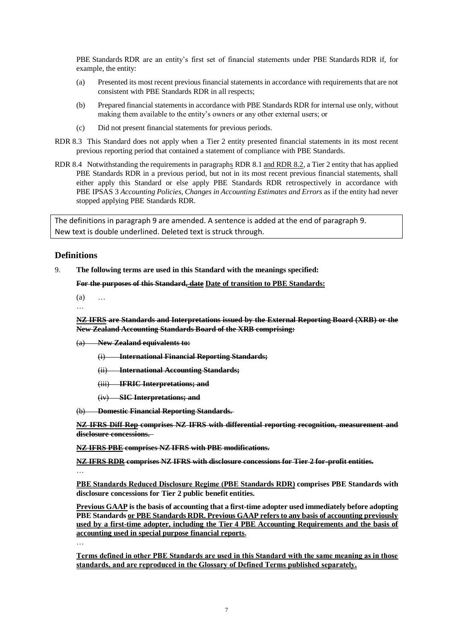PBE Standards RDR are an entity's first set of financial statements under PBE Standards RDR if, for example, the entity:

- (a) Presented its most recent previous financial statements in accordance with requirements that are not consistent with PBE Standards RDR in all respects;
- (b) Prepared financial statements in accordance with PBE Standards RDR for internal use only, without making them available to the entity's owners or any other external users; or
- (c) Did not present financial statements for previous periods.
- RDR 8.3 This Standard does not apply when a Tier 2 entity presented financial statements in its most recent previous reporting period that contained a statement of compliance with PBE Standards.
- RDR 8.4 Notwithstanding the requirements in paragraphs RDR 8.1 and RDR 8.2, a Tier 2 entity that has applied PBE Standards RDR in a previous period, but not in its most recent previous financial statements, shall either apply this Standard or else apply PBE Standards RDR retrospectively in accordance with PBE IPSAS 3 *Accounting Policies, Changes in Accounting Estimates and Errors* as if the entity had never stopped applying PBE Standards RDR.

The definitions in paragraph 9 are amended. A sentence is added at the end of paragraph 9. New text is double underlined. Deleted text is struck through.

### **Definitions**

9. **The following terms are used in this Standard with the meanings specified:**

**For the purposes of this Standard, date Date of transition to PBE Standards:**

- (a) …
- …

**NZ IFRS are Standards and Interpretations issued by the External Reporting Board (XRB) or the New Zealand Accounting Standards Board of the XRB comprising:**

- (a) **New Zealand equivalents to:**
	- (i) **International Financial Reporting Standards;**
	- (ii) **International Accounting Standards;**
	- (iii) **IFRIC Interpretations; and**
	- (iv) **SIC Interpretations; and**

(b) **Domestic Financial Reporting Standards.** 

**NZ IFRS Diff Rep comprises NZ IFRS with differential reporting recognition, measurement and disclosure concessions.** 

**NZ IFRS PBE comprises NZ IFRS with PBE modifications.**

**NZ IFRS RDR comprises NZ IFRS with disclosure concessions for Tier 2 for-profit entities.** …

**PBE Standards Reduced Disclosure Regime (PBE Standards RDR) comprises PBE Standards with disclosure concessions for Tier 2 public benefit entities.**

**Previous GAAP is the basis of accounting that a first-time adopter used immediately before adopting PBE Standards or PBE Standards RDR. Previous GAAP refers to any basis of accounting previously used by a first-time adopter, including the Tier 4 PBE Accounting Requirements and the basis of accounting used in special purpose financial reports.**

…

**Terms defined in other PBE Standards are used in this Standard with the same meaning as in those standards, and are reproduced in the Glossary of Defined Terms published separately.**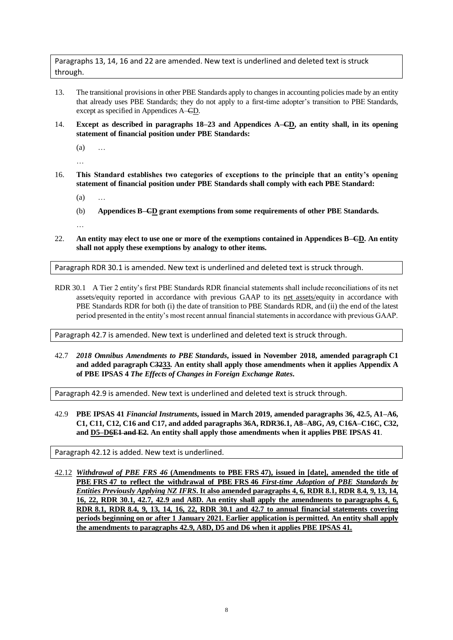Paragraphs 13, 14, 16 and 22 are amended. New text is underlined and deleted text is struck through.

- 13. The transitional provisionsin other PBE Standards apply to changes in accounting policies made by an entity that already uses PBE Standards; they do not apply to a first-time adopter's transition to PBE Standards, except as specified in Appendices A–CD.
- 14. **Except as described in paragraphs 18–23 and Appendices A–CD, an entity shall, in its opening statement of financial position under PBE Standards:** 
	- (a) …

…

…

- 16. **This Standard establishes two categories of exceptions to the principle that an entity's opening statement of financial position under PBE Standards shall comply with each PBE Standard:** 
	- $(a)$
	- (b) **Appendices B–CD grant exemptions from some requirements of other PBE Standards.**
- 22. **An entity may elect to use one or more of the exemptions contained in Appendices B–CD. An entity shall not apply these exemptions by analogy to other items.**

Paragraph RDR 30.1 is amended. New text is underlined and deleted text is struck through.

RDR 30.1 A Tier 2 entity's first PBE Standards RDR financial statements shall include reconciliations of its net assets/equity reported in accordance with previous GAAP to its net assets/equity in accordance with PBE Standards RDR for both (i) the date of transition to PBE Standards RDR, and (ii) the end of the latest period presented in the entity's most recent annual financial statements in accordance with previous GAAP.

Paragraph 42.7 is amended. New text is underlined and deleted text is struck through.

42.7 *2018 Omnibus Amendments to PBE Standards***, issued in November 2018, amended paragraph C1 and added paragraph C3233. An entity shall apply those amendments when it applies Appendix A of PBE IPSAS 4** *The Effects of Changes in Foreign Exchange Rates***.**

Paragraph 42.9 is amended. New text is underlined and deleted text is struck through.

42.9 **PBE IPSAS 41** *Financial Instruments***, issued in March 2019, amended paragraphs 36, 42.5, A1–A6, C1, C11, C12, C16 and C17, and added paragraphs 36A, RDR36.1, A8–A8G, A9, C16A–C16C, C32, and D5–D6E1 and E2. An entity shall apply those amendments when it applies PBE IPSAS 41**.

Paragraph 42.12 is added. New text is underlined.

42.12 *Withdrawal of PBE FRS 46* **(Amendments to PBE FRS 47), issued in [date], amended the title of PBE FRS 47 to reflect the withdrawal of PBE FRS 46** *First-time Adoption of PBE Standards by Entities Previously Applying NZ IFRS***. It also amended paragraphs 4, 6, RDR 8.1, RDR 8.4, 9, 13, 14, 16, 22, RDR 30.1, 42.7, 42.9 and A8D. An entity shall apply the amendments to paragraphs 4, 6, RDR 8.1, RDR 8.4, 9, 13, 14, 16, 22, RDR 30.1 and 42.7 to annual financial statements covering periods beginning on or after 1 January 2021. Earlier application is permitted. An entity shall apply the amendments to paragraphs 42.9, A8D, D5 and D6 when it applies PBE IPSAS 41.**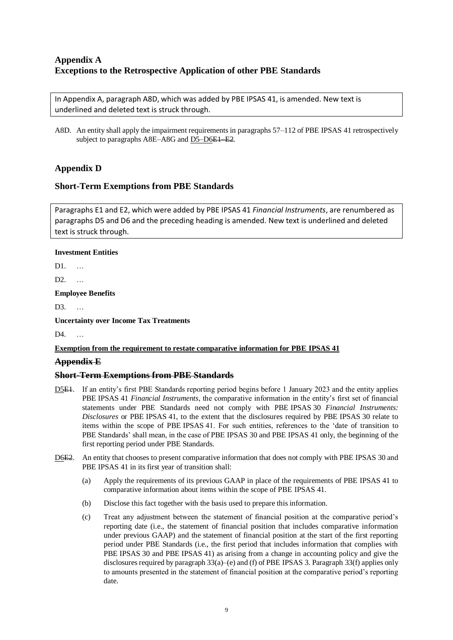## **Appendix A Exceptions to the Retrospective Application of other PBE Standards**

In Appendix A, paragraph A8D, which was added by PBE IPSAS 41, is amended. New text is underlined and deleted text is struck through.

A8D. An entity shall apply the impairment requirements in paragraphs 57–112 of PBE IPSAS 41 retrospectively subject to paragraphs A8E–A8G and D5–D6<del>E1–E2</del>.

## **Appendix D**

### **Short-Term Exemptions from PBE Standards**

Paragraphs E1 and E2, which were added by PBE IPSAS 41 *Financial Instruments*, are renumbered as paragraphs D5 and D6 and the preceding heading is amended. New text is underlined and deleted text is struck through.

### **Investment Entities**

 $D1$ .

D2. …

#### **Employee Benefits**

D3. …

**Uncertainty over Income Tax Treatments** 

 $\mathbf{D}4$ 

### **Exemption from the requirement to restate comparative information for PBE IPSAS 41**

### **Appendix E**

### **Short-Term Exemptions from PBE Standards**

- D5E1. If an entity's first PBE Standards reporting period begins before 1 January 2023 and the entity applies PBE IPSAS 41 *Financial Instruments*, the comparative information in the entity's first set of financial statements under PBE Standards need not comply with PBE IPSAS 30 *Financial Instruments: Disclosures* or PBE IPSAS 41, to the extent that the disclosures required by PBE IPSAS 30 relate to items within the scope of PBE IPSAS 41. For such entities, references to the 'date of transition to PBE Standards' shall mean, in the case of PBE IPSAS 30 and PBE IPSAS 41 only, the beginning of the first reporting period under PBE Standards.
- D6E2. An entity that chooses to present comparative information that does not comply with PBE IPSAS 30 and PBE IPSAS 41 in its first year of transition shall:
	- (a) Apply the requirements of its previous GAAP in place of the requirements of PBE IPSAS 41 to comparative information about items within the scope of PBE IPSAS 41.
	- (b) Disclose this fact together with the basis used to prepare this information.
	- (c) Treat any adjustment between the statement of financial position at the comparative period's reporting date (i.e., the statement of financial position that includes comparative information under previous GAAP) and the statement of financial position at the start of the first reporting period under PBE Standards (i.e., the first period that includes information that complies with PBE IPSAS 30 and PBE IPSAS 41) as arising from a change in accounting policy and give the disclosures required by paragraph 33(a)–(e) and (f) of PBE IPSAS 3. Paragraph 33(f) applies only to amounts presented in the statement of financial position at the comparative period's reporting date.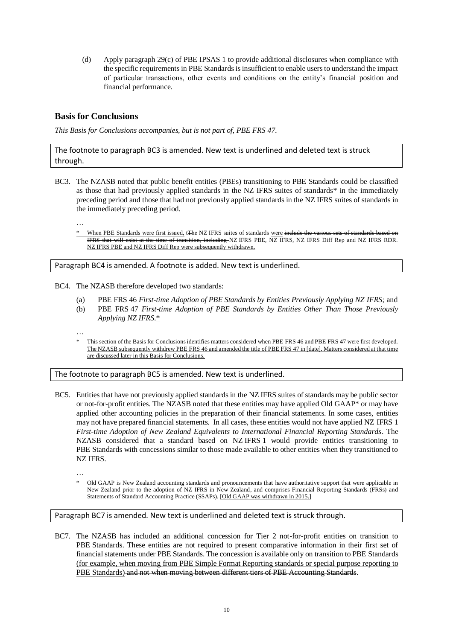(d) Apply paragraph 29(c) of PBE IPSAS 1 to provide additional disclosures when compliance with the specific requirements in PBE Standards is insufficient to enable users to understand the impact of particular transactions, other events and conditions on the entity's financial position and financial performance.

## **Basis for Conclusions**

*This Basis for Conclusions accompanies, but is not part of, PBE FRS 47.* 

The footnote to paragraph BC3 is amended. New text is underlined and deleted text is struck through.

BC3. The NZASB noted that public benefit entities (PBEs) transitioning to PBE Standards could be classified as those that had previously applied standards in the NZ IFRS suites of standards\* in the immediately preceding period and those that had not previously applied standards in the NZ IFRS suites of standards in the immediately preceding period.

…

When PBE Standards were first issued, tThe NZ IFRS suites of standards were include the various sets of standards based on IFRS that will exist at the time of transition, including NZ IFRS PBE, NZ IFRS, NZ IFRS Diff Rep and NZ IFRS RDR. NZ IFRS PBE and NZ IFRS Diff Rep were subsequently withdrawn.

Paragraph BC4 is amended. A footnote is added. New text is underlined.

BC4. The NZASB therefore developed two standards:

- (a) PBE FRS 46 *First-time Adoption of PBE Standards by Entities Previously Applying NZ IFRS;* and
- (b) PBE FRS 47 *First-time Adoption of PBE Standards by Entities Other Than Those Previously Applying NZ IFRS*.\*
- …
- This section of the Basis for Conclusions identifies matters considered when PBE FRS 46 and PBE FRS 47 were first developed. The NZASB subsequently withdrew PBE FRS 46 and amended the title of PBE FRS 47 in [date]. Matters considered at that time are discussed later in this Basis for Conclusions.

The footnote to paragraph BC5 is amended. New text is underlined.

- BC5. Entities that have not previously applied standards in the NZ IFRS suites of standards may be public sector or not-for-profit entities. The NZASB noted that these entities may have applied Old GAAP\* or may have applied other accounting policies in the preparation of their financial statements. In some cases, entities may not have prepared financial statements. In all cases, these entities would not have applied NZ IFRS 1 *First-time Adoption of New Zealand Equivalents to International Financial Reporting Standards*. The NZASB considered that a standard based on NZ IFRS 1 would provide entities transitioning to PBE Standards with concessions similar to those made available to other entities when they transitioned to NZ IFRS.
	- …
	- Old GAAP is New Zealand accounting standards and pronouncements that have authoritative support that were applicable in New Zealand prior to the adoption of NZ IFRS in New Zealand, and comprises Financial Reporting Standards (FRSs) and Statements of Standard Accounting Practice (SSAPs). [Old GAAP was withdrawn in 2015.]

### Paragraph BC7 is amended. New text is underlined and deleted text is struck through.

BC7. The NZASB has included an additional concession for Tier 2 not-for-profit entities on transition to PBE Standards. These entities are not required to present comparative information in their first set of financial statements under PBE Standards. The concession is available only on transition to PBE Standards (for example, when moving from PBE Simple Format Reporting standards or special purpose reporting to PBE Standards) and not when moving between different tiers of PBE Accounting Standards.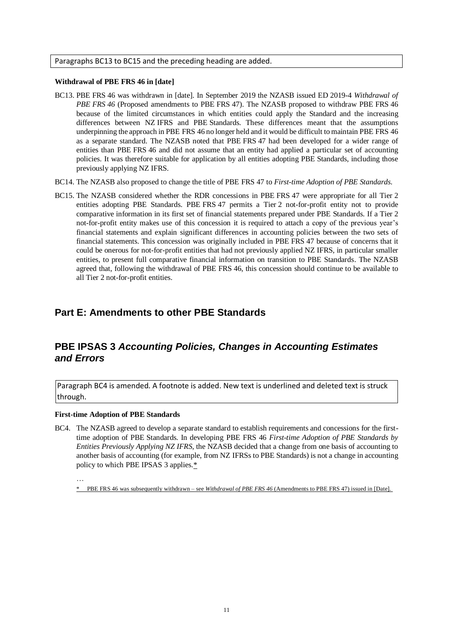#### Paragraphs BC13 to BC15 and the preceding heading are added.

#### **Withdrawal of PBE FRS 46 in [date]**

- BC13. PBE FRS 46 was withdrawn in [date]. In September 2019 the NZASB issued ED 2019-4 *Withdrawal of PBE FRS 46* (Proposed amendments to PBE FRS 47). The NZASB proposed to withdraw PBE FRS 46 because of the limited circumstances in which entities could apply the Standard and the increasing differences between NZ IFRS and PBE Standards. These differences meant that the assumptions underpinning the approach in PBE FRS 46 no longer held and it would be difficult to maintain PBE FRS 46 as a separate standard. The NZASB noted that PBE FRS 47 had been developed for a wider range of entities than PBE FRS 46 and did not assume that an entity had applied a particular set of accounting policies. It was therefore suitable for application by all entities adopting PBE Standards, including those previously applying NZ IFRS.
- BC14. The NZASB also proposed to change the title of PBE FRS 47 to *First-time Adoption of PBE Standards*.
- BC15. The NZASB considered whether the RDR concessions in PBE FRS 47 were appropriate for all Tier 2 entities adopting PBE Standards. PBE FRS 47 permits a Tier 2 not-for-profit entity not to provide comparative information in its first set of financial statements prepared under PBE Standards. If a Tier 2 not-for-profit entity makes use of this concession it is required to attach a copy of the previous year's financial statements and explain significant differences in accounting policies between the two sets of financial statements. This concession was originally included in PBE FRS 47 because of concerns that it could be onerous for not-for-profit entities that had not previously applied NZ IFRS, in particular smaller entities, to present full comparative financial information on transition to PBE Standards. The NZASB agreed that, following the withdrawal of PBE FRS 46, this concession should continue to be available to all Tier 2 not-for-profit entities.

## **Part E: Amendments to other PBE Standards**

## **PBE IPSAS 3** *Accounting Policies, Changes in Accounting Estimates and Errors*

Paragraph BC4 is amended. A footnote is added. New text is underlined and deleted text is struck through.

#### **First-time Adoption of PBE Standards**

BC4. The NZASB agreed to develop a separate standard to establish requirements and concessions for the firsttime adoption of PBE Standards. In developing PBE FRS 46 *First-time Adoption of PBE Standards by Entities Previously Applying NZ IFRS*, the NZASB decided that a change from one basis of accounting to another basis of accounting (for example, from NZ IFRSs to PBE Standards) is not a change in accounting policy to which PBE IPSAS 3 applies.\*

<sup>…</sup>

<sup>\*</sup> PBE FRS 46 was subsequently withdrawn – see *Withdrawal of PBE FRS 46* (Amendments to PBE FRS 47) issued in [Date].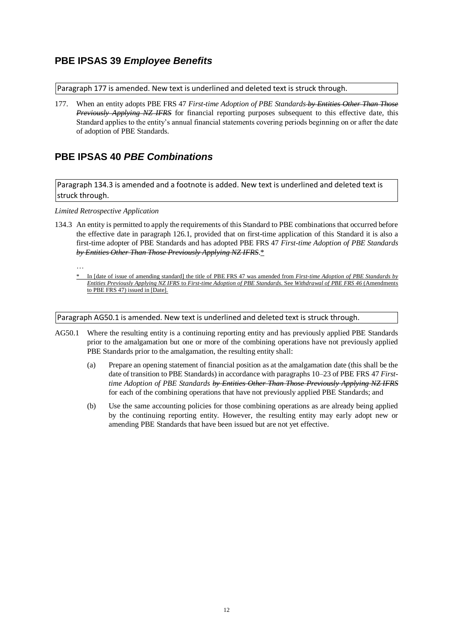## **PBE IPSAS 39** *Employee Benefits*

Paragraph 177 is amended. New text is underlined and deleted text is struck through.

177. When an entity adopts PBE FRS 47 *First-time Adoption of PBE Standards by Entities Other Than Those Previously Applying NZ IFRS* for financial reporting purposes subsequent to this effective date, this Standard applies to the entity's annual financial statements covering periods beginning on or after the date of adoption of PBE Standards.

## **PBE IPSAS 40** *PBE Combinations*

Paragraph 134.3 is amended and a footnote is added. New text is underlined and deleted text is struck through.

#### *Limited Retrospective Application*

134.3 An entity is permitted to apply the requirements of this Standard to PBE combinations that occurred before the effective date in paragraph 126.1, provided that on first-time application of this Standard it is also a first-time adopter of PBE Standards and has adopted PBE FRS 47 *First-time Adoption of PBE Standards by Entities Other Than Those Previously Applying NZ IFRS*.\*

…

\* In [date of issue of amending standard] the title of PBE FRS 47 was amended from *First-time Adoption of PBE Standards by Entities Previously Applying NZ IFRS* to *First-time Adoption of PBE Standards.* See *Withdrawal of PBE FRS 46* (Amendments to PBE FRS 47) issued in [Date].

Paragraph AG50.1 is amended. New text is underlined and deleted text is struck through.

- AG50.1 Where the resulting entity is a continuing reporting entity and has previously applied PBE Standards prior to the amalgamation but one or more of the combining operations have not previously applied PBE Standards prior to the amalgamation, the resulting entity shall:
	- (a) Prepare an opening statement of financial position as at the amalgamation date (this shall be the date of transition to PBE Standards) in accordance with paragraphs 10–23 of PBE FRS 47 *Firsttime Adoption of PBE Standards by Entities Other Than Those Previously Applying NZ IFRS* for each of the combining operations that have not previously applied PBE Standards; and
	- (b) Use the same accounting policies for those combining operations as are already being applied by the continuing reporting entity. However, the resulting entity may early adopt new or amending PBE Standards that have been issued but are not yet effective.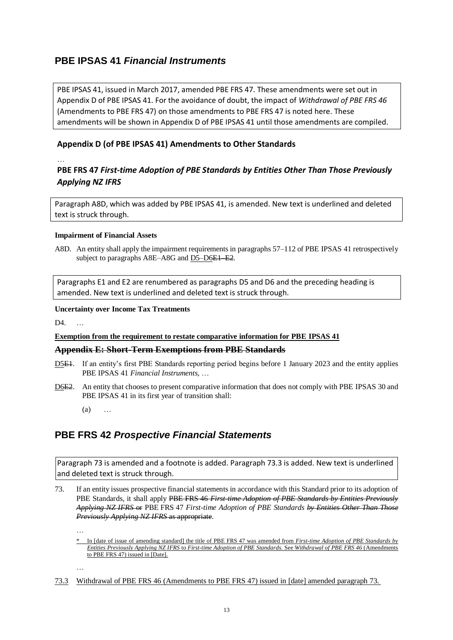# **PBE IPSAS 41** *Financial Instruments*

PBE IPSAS 41, issued in March 2017, amended PBE FRS 47. These amendments were set out in Appendix D of PBE IPSAS 41. For the avoidance of doubt, the impact of *Withdrawal of PBE FRS 46*  (Amendments to PBE FRS 47) on those amendments to PBE FRS 47 is noted here. These amendments will be shown in Appendix D of PBE IPSAS 41 until those amendments are compiled.

## **Appendix D (of PBE IPSAS 41) Amendments to Other Standards**

## …

## **PBE FRS 47** *First-time Adoption of PBE Standards by Entities Other Than Those Previously Applying NZ IFRS*

Paragraph A8D, which was added by PBE IPSAS 41, is amended. New text is underlined and deleted text is struck through.

### **Impairment of Financial Assets**

A8D. An entity shall apply the impairment requirements in paragraphs 57–112 of PBE IPSAS 41 retrospectively subject to paragraphs A8E–A8G and D5–D6<del>E1–E2</del>.

Paragraphs E1 and E2 are renumbered as paragraphs D5 and D6 and the preceding heading is amended. New text is underlined and deleted text is struck through.

### **Uncertainty over Income Tax Treatments**

 $\mathbf{D}4$ .

## **Exemption from the requirement to restate comparative information for PBE IPSAS 41**

## **Appendix E: Short-Term Exemptions from PBE Standards**

- D5E1. If an entity's first PBE Standards reporting period begins before 1 January 2023 and the entity applies PBE IPSAS 41 *Financial Instruments*, …
- D6E2. An entity that chooses to present comparative information that does not comply with PBE IPSAS 30 and PBE IPSAS 41 in its first year of transition shall:
	- (a) …

# **PBE FRS 42** *Prospective Financial Statements*

Paragraph 73 is amended and a footnote is added. Paragraph 73.3 is added. New text is underlined and deleted text is struck through.

73. If an entity issues prospective financial statements in accordance with this Standard prior to its adoption of PBE Standards, it shall apply PBE FRS 46 *First-time Adoption of PBE Standards by Entities Previously Applying NZ IFRS* or PBE FRS 47 *First-time Adoption of PBE Standards by Entities Other Than Those Previously Applying NZ IFRS* as appropriate.

…

…

73.3 Withdrawal of PBE FRS 46 (Amendments to PBE FRS 47) issued in [date] amended paragraph 73.

<sup>\*</sup> In [date of issue of amending standard] the title of PBE FRS 47 was amended from *First-time Adoption of PBE Standards by Entities Previously Applying NZ IFRS* to *First-time Adoption of PBE Standards.* See *Withdrawal of PBE FRS 46* (Amendments to PBE FRS 47) issued in [Date].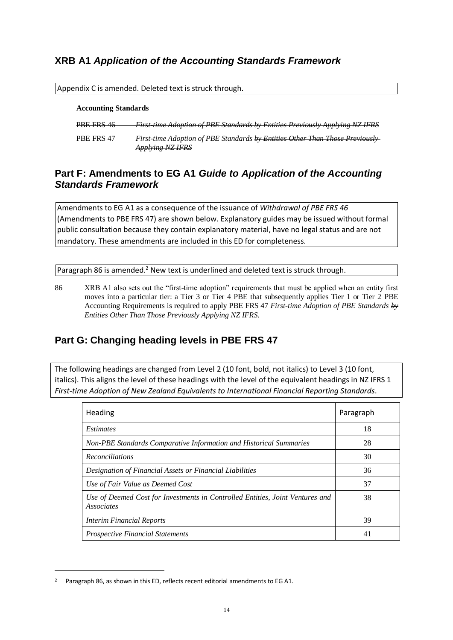# **XRB A1** *Application of the Accounting Standards Framework*

| Appendix C is amended. Deleted text is struck through. |                                                                                                         |  |  |  |
|--------------------------------------------------------|---------------------------------------------------------------------------------------------------------|--|--|--|
| <b>Accounting Standards</b>                            |                                                                                                         |  |  |  |
| PBE FRS 46                                             | First time Adoption of PBE Standards by Entities Previously Applying NZ IFRS                            |  |  |  |
| PBE FRS 47                                             | First-time Adoption of PBE Standards by Entities Other Than Those Previously<br><b>Applying NZ IFRS</b> |  |  |  |

# **Part F: Amendments to EG A1** *Guide to Application of the Accounting Standards Framework*

Amendments to EG A1 as a consequence of the issuance of *Withdrawal of PBE FRS 46* (Amendments to PBE FRS 47) are shown below. Explanatory guides may be issued without formal public consultation because they contain explanatory material, have no legal status and are not mandatory. These amendments are included in this ED for completeness.

Paragraph 86 is amended.<sup>2</sup> New text is underlined and deleted text is struck through.

86 XRB A1 also sets out the "first-time adoption" requirements that must be applied when an entity first moves into a particular tier: a Tier 3 or Tier 4 PBE that subsequently applies Tier 1 or Tier 2 PBE Accounting Requirements is required to apply PBE FRS 47 *First-time Adoption of PBE Standards by Entities Other Than Those Previously Applying NZ IFRS*.

# **Part G: Changing heading levels in PBE FRS 47**

The following headings are changed from Level 2 (10 font, bold, not italics) to Level 3 (10 font, italics). This aligns the level of these headings with the level of the equivalent headings in NZ IFRS 1 *First-time Adoption of New Zealand Equivalents to International Financial Reporting Standards*.

| Heading                                                                                            | Paragraph |
|----------------------------------------------------------------------------------------------------|-----------|
| <i>Estimates</i>                                                                                   | 18        |
| Non-PBE Standards Comparative Information and Historical Summaries                                 | 28        |
| <b>Reconciliations</b>                                                                             | 30        |
| Designation of Financial Assets or Financial Liabilities                                           | 36        |
| Use of Fair Value as Deemed Cost                                                                   | 37        |
| Use of Deemed Cost for Investments in Controlled Entities, Joint Ventures and<br><i>Associates</i> | 38        |
| <b>Interim Financial Reports</b>                                                                   | 39        |
| <b>Prospective Financial Statements</b>                                                            | 41        |

1

<sup>&</sup>lt;sup>2</sup> Paragraph 86, as shown in this ED, reflects recent editorial amendments to EG A1.